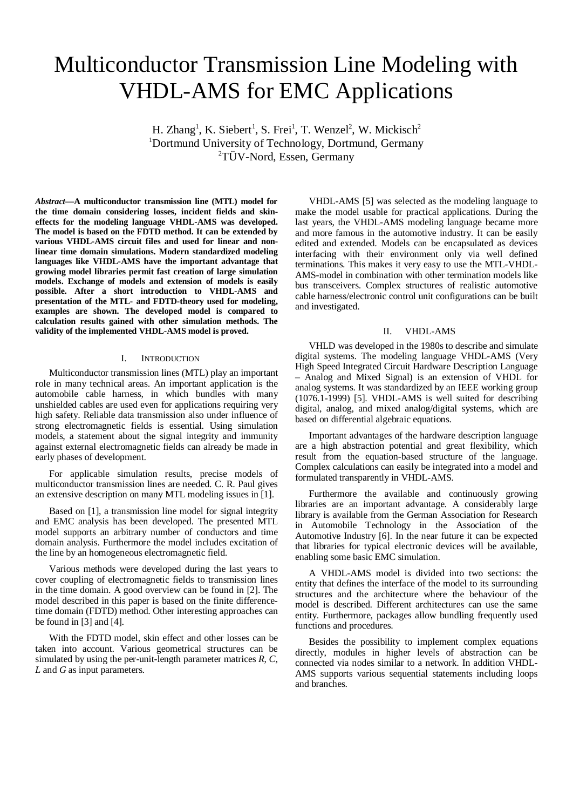# Multiconductor Transmission Line Modeling with VHDL-AMS for EMC Applications

H. Zhang<sup>1</sup>, K. Siebert<sup>1</sup>, S. Frei<sup>1</sup>, T. Wenzel<sup>2</sup>, W. Mickisch<sup>2</sup> <sup>1</sup>Dortmund University of Technology, Dortmund, Germany  $\rm{2T}$ ÜV-Nord, Essen, Germany

*Abstract***—A multiconductor transmission line (MTL) model for the time domain considering losses, incident fields and skineffects for the modeling language VHDL-AMS was developed. The model is based on the FDTD method. It can be extended by various VHDL-AMS circuit files and used for linear and nonlinear time domain simulations. Modern standardized modeling languages like VHDL-AMS have the important advantage that growing model libraries permit fast creation of large simulation models. Exchange of models and extension of models is easily possible. After a short introduction to VHDL-AMS and presentation of the MTL- and FDTD-theory used for modeling, examples are shown. The developed model is compared to calculation results gained with other simulation methods. The validity of the implemented VHDL-AMS model is proved.** 

# I. INTRODUCTION

Multiconductor transmission lines (MTL) play an important role in many technical areas. An important application is the automobile cable harness, in which bundles with many unshielded cables are used even for applications requiring very high safety. Reliable data transmission also under influence of strong electromagnetic fields is essential. Using simulation models, a statement about the signal integrity and immunity against external electromagnetic fields can already be made in early phases of development.

For applicable simulation results, precise models of multiconductor transmission lines are needed. C. R. Paul gives an extensive description on many MTL modeling issues in [1].

Based on [1], a transmission line model for signal integrity and EMC analysis has been developed. The presented MTL model supports an arbitrary number of conductors and time domain analysis. Furthermore the model includes excitation of the line by an homogeneous electromagnetic field.

Various methods were developed during the last years to cover coupling of electromagnetic fields to transmission lines in the time domain. A good overview can be found in [2]. The model described in this paper is based on the finite differencetime domain (FDTD) method. Other interesting approaches can be found in [3] and [4].

With the FDTD model, skin effect and other losses can be taken into account. Various geometrical structures can be simulated by using the per-unit-length parameter matrices *R*, *C*, *L* and *G* as input parameters.

VHDL-AMS [5] was selected as the modeling language to make the model usable for practical applications. During the last years, the VHDL-AMS modeling language became more and more famous in the automotive industry. It can be easily edited and extended. Models can be encapsulated as devices interfacing with their environment only via well defined terminations. This makes it very easy to use the MTL-VHDL-AMS-model in combination with other termination models like bus transceivers. Complex structures of realistic automotive cable harness/electronic control unit configurations can be built and investigated.

### II. VHDL-AMS

VHLD was developed in the 1980s to describe and simulate digital systems. The modeling language VHDL-AMS (Very High Speed Integrated Circuit Hardware Description Language – Analog and Mixed Signal) is an extension of VHDL for analog systems. It was standardized by an IEEE working group (1076.1-1999) [5]. VHDL-AMS is well suited for describing digital, analog, and mixed analog/digital systems, which are based on differential algebraic equations.

Important advantages of the hardware description language are a high abstraction potential and great flexibility, which result from the equation-based structure of the language. Complex calculations can easily be integrated into a model and formulated transparently in VHDL-AMS.

Furthermore the available and continuously growing libraries are an important advantage. A considerably large library is available from the German Association for Research in Automobile Technology in the Association of the Automotive Industry [6]. In the near future it can be expected that libraries for typical electronic devices will be available, enabling some basic EMC simulation.

A VHDL-AMS model is divided into two sections: the entity that defines the interface of the model to its surrounding structures and the architecture where the behaviour of the model is described. Different architectures can use the same entity. Furthermore, packages allow bundling frequently used functions and procedures.

Besides the possibility to implement complex equations directly, modules in higher levels of abstraction can be connected via nodes similar to a network. In addition VHDL-AMS supports various sequential statements including loops and branches.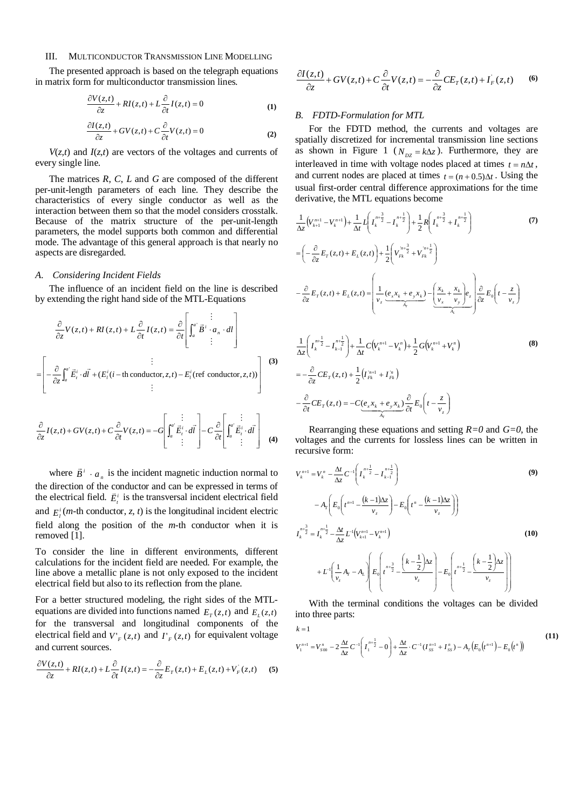# III. MULTICONDUCTOR TRANSMISSION LINE MODELLING

The presented approach is based on the telegraph equations in matrix form for multiconductor transmission lines.

$$
\frac{\partial V(z,t)}{\partial z} + RI(z,t) + L\frac{\partial}{\partial t}I(z,t) = 0
$$
 (1)

$$
\frac{\partial I(z,t)}{\partial z} + GV(z,t) + C \frac{\partial}{\partial t} V(z,t) = 0
$$
\n(2)

 $V(z,t)$  and  $I(z,t)$  are vectors of the voltages and currents of every single line.

The matrices *R*, *C*, *L* and *G* are composed of the different per-unit-length parameters of each line. They describe the characteristics of every single conductor as well as the interaction between them so that the model considers crosstalk. Because of the matrix structure of the per-unit-length parameters, the model supports both common and differential mode. The advantage of this general approach is that nearly no aspects are disregarded.

# *A. Considering Incident Fields*

The influence of an incident field on the line is described by extending the right hand side of the MTL-Equations

$$
\frac{\partial}{\partial z}V(z,t) + RI(z,t) + L\frac{\partial}{\partial t}I(z,t) = \frac{\partial}{\partial t}\left[\int_a^{a^*} \vec{B}^i \cdot a_n \cdot dI\right]
$$
\n
$$
= \left[ -\frac{\partial}{\partial z} \int_a^{a^*} \vec{E}_i^i \cdot d\vec{l} + (E_i^i(i-\text{th conductor}, z, t) - E_i^i(\text{ref conductor}, z, t)) \right]
$$
\n(3)

$$
\frac{\partial}{\partial z}I(z,t) + GV(z,t) + C\frac{\partial}{\partial t}V(z,t) = -G\left[\int_a^a \vec{E}_t^i \cdot d\vec{l}\right] - C\frac{\partial}{\partial t}\left[\int_a^a \vec{E}_t^i \cdot d\vec{l}\right]
$$
(4)

where  $\vec{B}^i \cdot a_n$  $\vec{B}^i \cdot a_{i}$  is the incident magnetic induction normal to the direction of the conductor and can be expressed in terms of the electrical field.  $\vec{E}^i$  is the transversal incident electrical field and  $E_l^i$  (*m*-th conductor, *z*, *t*) is the longitudinal incident electric field along the position of the *m*-th conductor when it is removed [1].

To consider the line in different environments, different calculations for the incident field are needed. For example, the line above a metallic plane is not only exposed to the incident electrical field but also to its reflection from the plane.

For a better structured modeling, the right sides of the MTLequations are divided into functions named  $E_{T}(z,t)$  and  $E_{L}(z,t)$ for the transversal and longitudinal components of the electrical field and  $V'_{F}(z,t)$  and  $\Gamma_{F}(z,t)$  for equivalent voltage and current sources.

$$
\frac{\partial V(z,t)}{\partial z} + RI(z,t) + L\frac{\partial}{\partial t}I(z,t) = -\frac{\partial}{\partial z}E_{T}(z,t) + E_{L}(z,t) + V_{F}(z,t)
$$
 (5)

$$
\frac{\partial I(z,t)}{\partial z} + GV(z,t) + C\frac{\partial}{\partial t}V(z,t) = -\frac{\partial}{\partial z}CE_T(z,t) + I_F(z,t)
$$
 (6)

# *B. FDTD-Formulation for MTL*

For the FDTD method, the currents and voltages are spatially discretized for incremental transmission line sections as shown in Figure 1 ( $N_{pz} = k\Delta z$ ). Furthermore, they are interleaved in time with voltage nodes placed at times  $t = n\Delta t$ , and current nodes are placed at times  $t = (n + 0.5)\Delta t$ . Using the usual first-order central difference approximations for the time derivative, the MTL equations become

$$
\frac{1}{\Delta z} (V_{k+1}^{n+1} - V_k^{n+1}) + \frac{1}{\Delta t} L \left( I_k^{n+\frac{3}{2}} - I_k^{n+\frac{1}{2}} \right) + \frac{1}{2} R \left( I_k^{n+\frac{3}{2}} + I_k^{n+\frac{1}{2}} \right)
$$
\n
$$
= \left( -\frac{\partial}{\partial z} E_T(z, t) + E_L(z, t) \right) + \frac{1}{2} \left( V_{Fk}^{n+\frac{3}{2}} + V_{Fk}^{n+\frac{1}{2}} \right)
$$
\n
$$
- \frac{\partial}{\partial z} E_T(z, t) + E_L(z, t) = \left( \frac{1}{v_z} \frac{(e_x x_k + e_y x_k)}{\frac{\lambda}{\lambda_T}} - \frac{\left( \frac{x_k}{v_x} + \frac{x_k}{v_y} \right)}{\frac{\lambda}{\lambda_L}} e_z \right) \frac{\partial}{\partial z} E_0 \left( t - \frac{z}{v_z} \right)
$$
\n
$$
\frac{1}{\Delta z} \left( I_k^{n+\frac{1}{2}} - I_{k-1}^{n+\frac{1}{2}} \right) + \frac{1}{\Delta t} C \left( V_k^{n+1} - V_k^{n} \right) + \frac{1}{2} G \left( V_k^{n+1} + V_k^{n} \right)
$$
\n
$$
= -\frac{\partial}{\partial z} C E_T(z, t) + \frac{1}{2} \left( I_{Fk}^{n+1} + I_{Fk}^{n} \right)
$$
\n
$$
- \frac{\partial}{\partial t} C E_T(z, t) = -C \underbrace{(e_x x_k + e_y x_k)}_{A_T} \frac{\partial}{\partial t} E_0 \left( t - \frac{z}{v_z} \right)
$$
\n(8)

Rearranging these equations and setting *R=0* and *G=0*, the voltages and the currents for lossless lines can be written in recursive form:

*T*

$$
V_{k}^{n+1} = V_{k}^{n} - \frac{\Delta t}{\Delta z} C^{-1} \left( I_{k}^{n+\frac{1}{2}} - I_{k-1}^{n+\frac{1}{2}} \right)
$$
\n
$$
-A_{T} \left( E_{0} \left( t^{n+1} - \frac{(k-1)\Delta z}{v_{z}} \right) - E_{0} \left( t^{n} - \frac{(k-1)\Delta z}{v_{z}} \right) \right)
$$
\n
$$
I_{k}^{n+\frac{3}{2}} = I_{k}^{n+\frac{1}{2}} - \frac{\Delta t}{\Delta z} L^{-1} \left( V_{k+1}^{n+1} - V_{k}^{n+1} \right)
$$
\n
$$
+ L^{-1} \left( \frac{1}{v_{z}} A_{T} - A_{L} \right) E_{0} \left( t^{n+\frac{3}{2}} - \frac{\left( k - \frac{1}{2} \right) \Delta z}{v_{z}} \right) - E_{0} \left( t^{n+\frac{1}{2}} - \frac{\left( k - \frac{1}{2} \right) \Delta z}{v_{z}} \right)
$$
\n(10)

With the terminal conditions the voltages can be divided into three parts:

$$
k = 1
$$
\n
$$
V_1^{n+1} = V_{S00}^n - 2\frac{\Delta t}{\Delta z}C^{-1}\left(I_1^{n+\frac{1}{2}} - 0\right) + \frac{\Delta t}{\Delta z} \cdot C^{-1}(I_{SS}^{n+1} + I_{SS}^n) - A_T\left(E_0\left(t^{n+1}\right) - E_0\left(t^n\right)\right)
$$
\n(11)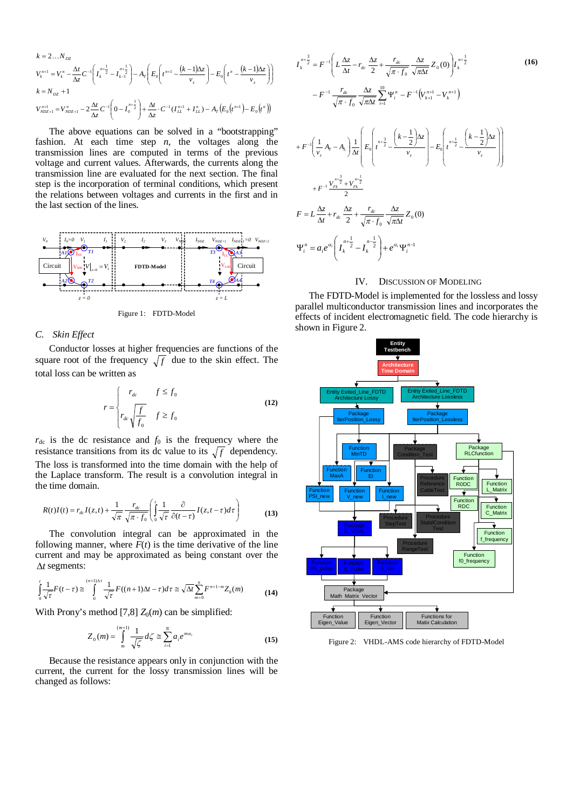$$
k = 2...N_{DZ}
$$
\n
$$
V_k^{n+1} = V_k^n - \frac{\Delta t}{\Delta z} C^{-1} \left( I_k^{n+\frac{1}{2}} - I_{k-1}^{n+\frac{1}{2}} \right) - A_T \left( E_0 \left( t^{n+1} - \frac{(k-1)\Delta z}{v_z} \right) - E_0 \left( t^n - \frac{(k-1)\Delta z}{v_z} \right) \right)
$$
\n
$$
k = N_{DZ} + 1
$$
\n
$$
V_{NDZ+1}^{n+1} = V_{NDZ+1}^n - 2 \frac{\Delta t}{\Delta z} C^{-1} \left( 0 - I_0^{n+\frac{1}{2}} \right) + \frac{\Delta t}{\Delta z} \cdot C^{-1} \left( I_{LL}^{n+1} + I_{LL}^n \right) - A_T \left( E_0 \left( t^{n+1} \right) - E_0 \left( t^n \right) \right)
$$

The above equations can be solved in a "bootstrapping" fashion. At each time step *n*, the voltages along the transmission lines are computed in terms of the previous voltage and current values. Afterwards, the currents along the transmission line are evaluated for the next section. The final step is the incorporation of terminal conditions, which present the relations between voltages and currents in the first and in the last section of the lines.



## Figure 1: FDTD-Model

## *C. Skin Effect*

Conductor losses at higher frequencies are functions of the square root of the frequency  $\sqrt{f}$  due to the skin effect. The total loss can be written as

$$
r = \begin{cases} r_{dc} & f \le f_0 \\ r_{dc} \sqrt{\frac{f}{f_0}} & f \ge f_0 \end{cases}
$$
 (12)

 $r_{dc}$  is the dc resistance and  $f_0$  is the frequency where the resistance transitions from its dc value to its  $\sqrt{f}$  dependency. The loss is transformed into the time domain with the help of the Laplace transform. The result is a convolution integral in the time domain.

$$
R(t)I(t) = r_{dc}I(z,t) + \frac{1}{\sqrt{\pi}} \frac{r_{dc}}{\sqrt{\pi} \cdot f_0} \left( \int_0^t \frac{1}{\sqrt{\tau}} \frac{\partial}{\partial (t-\tau)} I(z,t-\tau) d\tau \right)
$$
(13)

The convolution integral can be approximated in the following manner, where  $F(t)$  is the time derivative of the line current and may be approximated as being constant over the  $\Delta t$  segments:

$$
\int_{0}^{t} \frac{1}{\sqrt{\tau}} F(t-\tau) \approx \int_{0}^{(n+1)\Delta\tau} \frac{1}{\sqrt{\tau}} F((n+1)\Delta t - \tau) d\tau \approx \sqrt{\Delta t} \sum_{m=0}^{n} F^{n+1-m} Z_{0}(m)
$$
 (14)

With Prony's method [7,8]  $Z_0(m)$  can be simplified:

$$
Z_0(m) = \int_{m}^{(m+1)} \frac{1}{\sqrt{\zeta}} d\zeta \cong \sum_{i=1}^{N} a_i e^{m a_i}
$$
 (15)

Because the resistance appears only in conjunction with the current, the current for the lossy transmission lines will be changed as follows:

$$
I_{k}^{n+\frac{3}{2}} = F^{-1} \left( L \frac{\Delta z}{\Delta t} - r_{dc} \frac{\Delta z}{2} + \frac{r_{dc}}{\sqrt{\pi \cdot f_{0}}} \frac{\Delta z}{\sqrt{\pi \Delta t}} Z_{0}(0) \right) I_{k}^{n+\frac{1}{2}}
$$
(16)  

$$
- F^{-1} \frac{r_{dc}}{\sqrt{\pi \cdot f_{0}}} \frac{\Delta z}{\sqrt{\pi \Delta t}} \sum_{i=1}^{10} \Psi_{i}^{n} - F^{-1} (V_{k+1}^{n+1} - V_{k}^{n+1})
$$
  

$$
+ F^{-1} \left( \frac{1}{v_{z}} A_{T} - A_{L} \right) \frac{1}{\Delta t} \left( E_{0} \left( r^{n+\frac{3}{2}} - \frac{\left( k - \frac{1}{2} \right) \Delta z}{v_{z}} \right) - E_{0} \left( r^{n+\frac{1}{2}} - \frac{\left( k - \frac{1}{2} \right) \Delta z}{v_{z}} \right) \right)
$$
  

$$
+ F^{-1} \frac{V_{F_{k}}^{n+\frac{3}{2}} + V_{F_{k}}^{n+\frac{1}{2}}}{2}
$$
  

$$
F = L \frac{\Delta z}{\Delta t} + r_{dc} \frac{\Delta z}{2} + \frac{r_{dc}}{\sqrt{\pi \cdot f_{0}}} \frac{\Delta z}{\sqrt{\pi \Delta t}} Z_{0}(0)
$$
  

$$
\Psi_{i}^{n} = a_{i} e^{\alpha_{i}} \left( I_{k}^{n+\frac{1}{2}} - I_{k}^{n-\frac{1}{2}} \right) + e^{\alpha_{i}} \Psi_{i}^{n-1}
$$
(16)

#### IV. DISCUSSION OF MODELING

The FDTD-Model is implemented for the lossless and lossy parallel multiconductor transmission lines and incorporates the effects of incident electromagnetic field. The code hierarchy is shown in Figure 2.



Figure 2: VHDL-AMS code hierarchy of FDTD-Model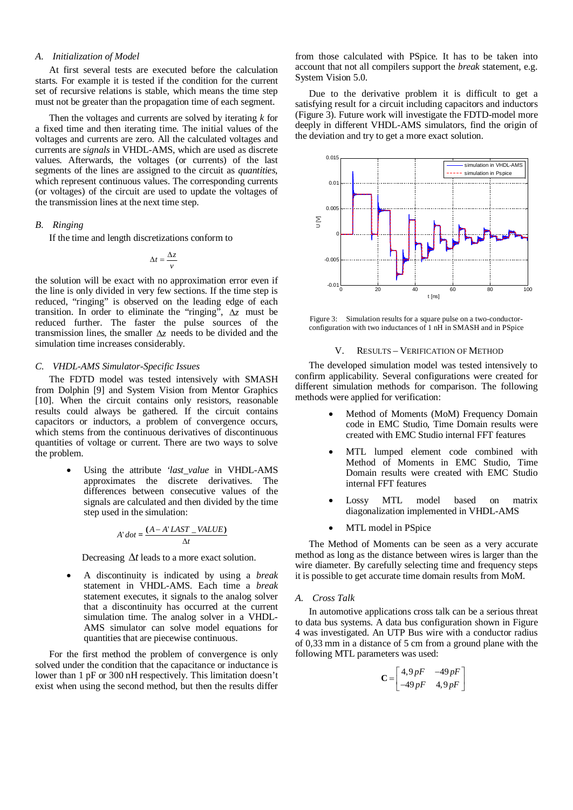# *A. Initialization of Model*

At first several tests are executed before the calculation starts. For example it is tested if the condition for the current set of recursive relations is stable, which means the time step must not be greater than the propagation time of each segment.

Then the voltages and currents are solved by iterating *k* for a fixed time and then iterating time. The initial values of the voltages and currents are zero. All the calculated voltages and currents are *signals* in VHDL-AMS, which are used as discrete values. Afterwards, the voltages (or currents) of the last segments of the lines are assigned to the circuit as *quantities*, which represent continuous values. The corresponding currents (or voltages) of the circuit are used to update the voltages of the transmission lines at the next time step.

# *B. Ringing*

If the time and length discretizations conform to

$$
\Delta t = \frac{\Delta z}{v}
$$

the solution will be exact with no approximation error even if the line is only divided in very few sections. If the time step is reduced, "ringing" is observed on the leading edge of each transition. In order to eliminate the "ringing",  $\Delta z$  must be reduced further. The faster the pulse sources of the transmission lines, the smaller  $\Delta z$  needs to be divided and the simulation time increases considerably.

#### *C. VHDL-AMS Simulator-Specific Issues*

The FDTD model was tested intensively with SMASH from Dolphin [9] and System Vision from Mentor Graphics [10]. When the circuit contains only resistors, reasonable results could always be gathered. If the circuit contains capacitors or inductors, a problem of convergence occurs, which stems from the continuous derivatives of discontinuous quantities of voltage or current. There are two ways to solve the problem.

> Using the attribute *'last\_value* in VHDL-AMS approximates the discrete derivatives. The differences between consecutive values of the signals are calculated and then divided by the time step used in the simulation:

$$
A'dot = \frac{(A - A' LAST\_VALUE)}{\Delta t}
$$

Decreasing  $\Delta t$  leads to a more exact solution.

 A discontinuity is indicated by using a *break* statement in VHDL-AMS. Each time a *break* statement executes, it signals to the analog solver that a discontinuity has occurred at the current simulation time. The analog solver in a VHDL-AMS simulator can solve model equations for quantities that are piecewise continuous.

For the first method the problem of convergence is only solved under the condition that the capacitance or inductance is lower than 1 pF or 300 nH respectively. This limitation doesn't exist when using the second method, but then the results differ

from those calculated with PSpice. It has to be taken into account that not all compilers support the *break* statement, e.g. System Vision 5.0.

Due to the derivative problem it is difficult to get a satisfying result for a circuit including capacitors and inductors (Figure 3). Future work will investigate the FDTD-model more deeply in different VHDL-AMS simulators, find the origin of the deviation and try to get a more exact solution.



Figure 3: Simulation results for a square pulse on a two-conductorconfiguration with two inductances of 1 nH in SMASH and in PSpice

### V. RESULTS – VERIFICATION OF METHOD

The developed simulation model was tested intensively to confirm applicability. Several configurations were created for different simulation methods for comparison. The following methods were applied for verification:

- Method of Moments (MoM) Frequency Domain code in EMC Studio, Time Domain results were created with EMC Studio internal FFT features
- MTL lumped element code combined with Method of Moments in EMC Studio, Time Domain results were created with EMC Studio internal FFT features
- Lossy MTL model based on matrix diagonalization implemented in VHDL-AMS
- MTL model in PSpice

The Method of Moments can be seen as a very accurate method as long as the distance between wires is larger than the wire diameter. By carefully selecting time and frequency steps it is possible to get accurate time domain results from MoM.

#### *A. Cross Talk*

In automotive applications cross talk can be a serious threat to data bus systems. A data bus configuration shown in Figure 4 was investigated. An UTP Bus wire with a conductor radius of 0,33 mm in a distance of 5 cm from a ground plane with the following MTL parameters was used:

$$
\mathbf{C} = \begin{bmatrix} 4.9 \, pF & -49 \, pF \\ -49 \, pF & 4.9 \, pF \end{bmatrix}
$$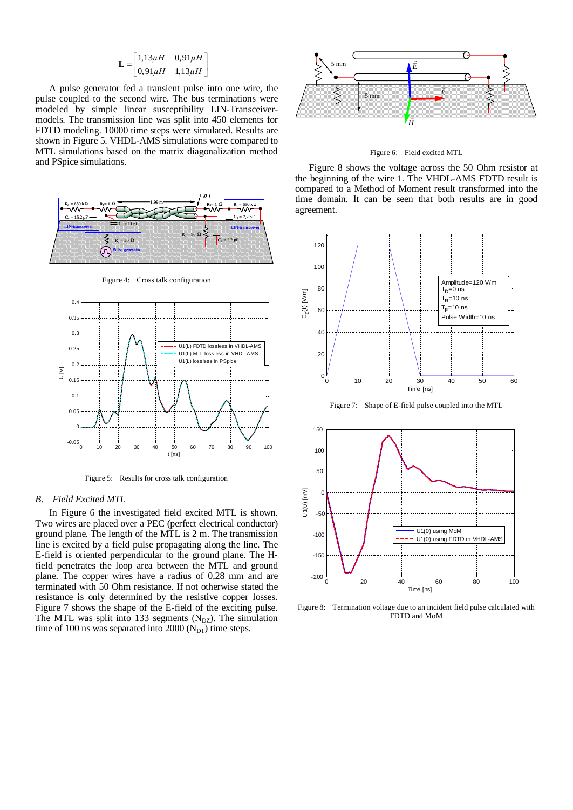$$
\mathbf{L} = \begin{bmatrix} 1.13 \mu H & 0.91 \mu H \\ 0.91 \mu H & 1.13 \mu H \end{bmatrix}
$$

A pulse generator fed a transient pulse into one wire, the pulse coupled to the second wire. The bus terminations were modeled by simple linear susceptibility LIN-Transceivermodels. The transmission line was split into 450 elements for FDTD modeling. 10000 time steps were simulated. Results are shown in Figure 5. VHDL-AMS simulations were compared to MTL simulations based on the matrix diagonalization method and PSpice simulations.



Figure 4: Cross talk configuration



Figure 5: Results for cross talk configuration

## *B. Field Excited MTL*

In Figure 6 the investigated field excited MTL is shown. Two wires are placed over a PEC (perfect electrical conductor) ground plane. The length of the MTL is 2 m. The transmission line is excited by a field pulse propagating along the line. The E-field is oriented perpendicular to the ground plane. The Hfield penetrates the loop area between the MTL and ground plane. The copper wires have a radius of 0,28 mm and are terminated with 50 Ohm resistance. If not otherwise stated the resistance is only determined by the resistive copper losses. Figure 7 shows the shape of the E-field of the exciting pulse. The MTL was split into 133 segments  $(N_{DZ})$ . The simulation time of 100 ns was separated into 2000 ( $N<sub>DT</sub>$ ) time steps.



Figure 6: Field excited MTL

Figure 8 shows the voltage across the 50 Ohm resistor at the beginning of the wire 1. The VHDL-AMS FDTD result is compared to a Method of Moment result transformed into the time domain. It can be seen that both results are in good agreement.



Figure 7: Shape of E-field pulse coupled into the MTL



Figure 8: Termination voltage due to an incident field pulse calculated with FDTD and MoM